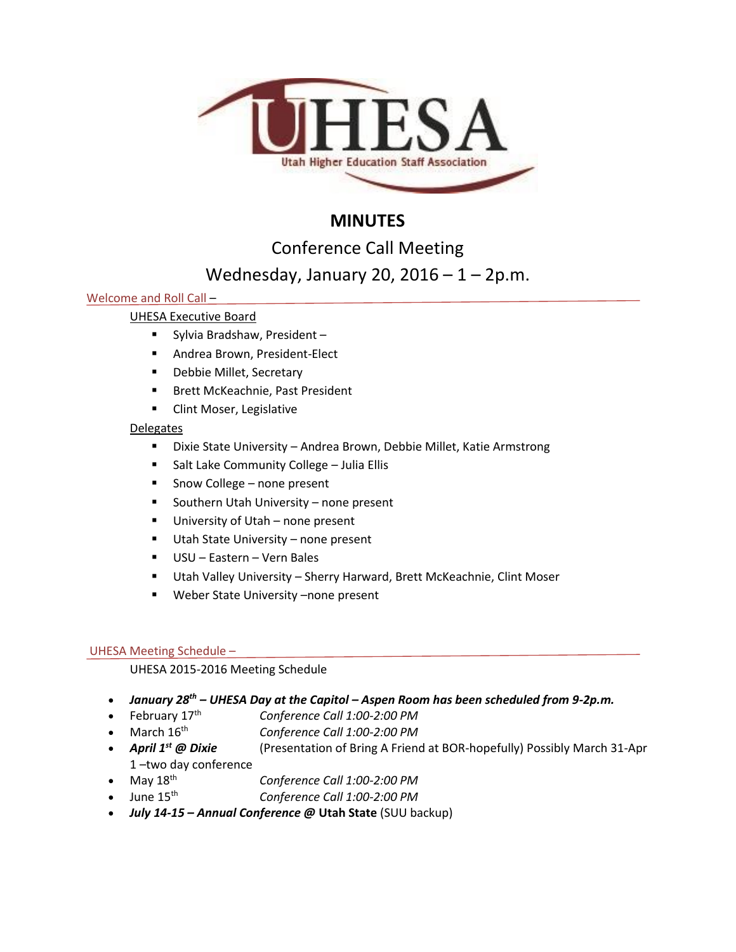

# **MINUTES**

Conference Call Meeting

# Wednesday, January 20, 2016 – 1 – 2p.m.

# Welcome and Roll Call –

# UHESA Executive Board

- Sylvia Bradshaw, President –
- **Andrea Brown, President-Elect**
- **-** Debbie Millet, Secretary
- **Brett McKeachnie, Past President**
- **Clint Moser, Legislative**

# Delegates

- Dixie State University Andrea Brown, Debbie Millet, Katie Armstrong
- **Salt Lake Community College Julia Ellis**
- Snow College none present
- **Southern Utah University none present**
- **University of Utah none present**
- **Utah State University none present**
- USU Eastern Vern Bales
- Utah Valley University Sherry Harward, Brett McKeachnie, Clint Moser
- **Weber State University -none present**

# UHESA Meeting Schedule –

UHESA 2015-2016 Meeting Schedule

- *January 28th – UHESA Day at the Capitol – Aspen Room has been scheduled from 9-2p.m.*
- February 17th *Conference Call 1:00-2:00 PM*
- March 16th *Conference Call 1:00-2:00 PM*
- *April 1st @ Dixie* (Presentation of Bring A Friend at BOR-hopefully) Possibly March 31-Apr 1 –two day conference
- May 18th *Conference Call 1:00-2:00 PM*
- June 15th *Conference Call 1:00-2:00 PM*
- *July 14-15 – Annual Conference @* **Utah State** (SUU backup)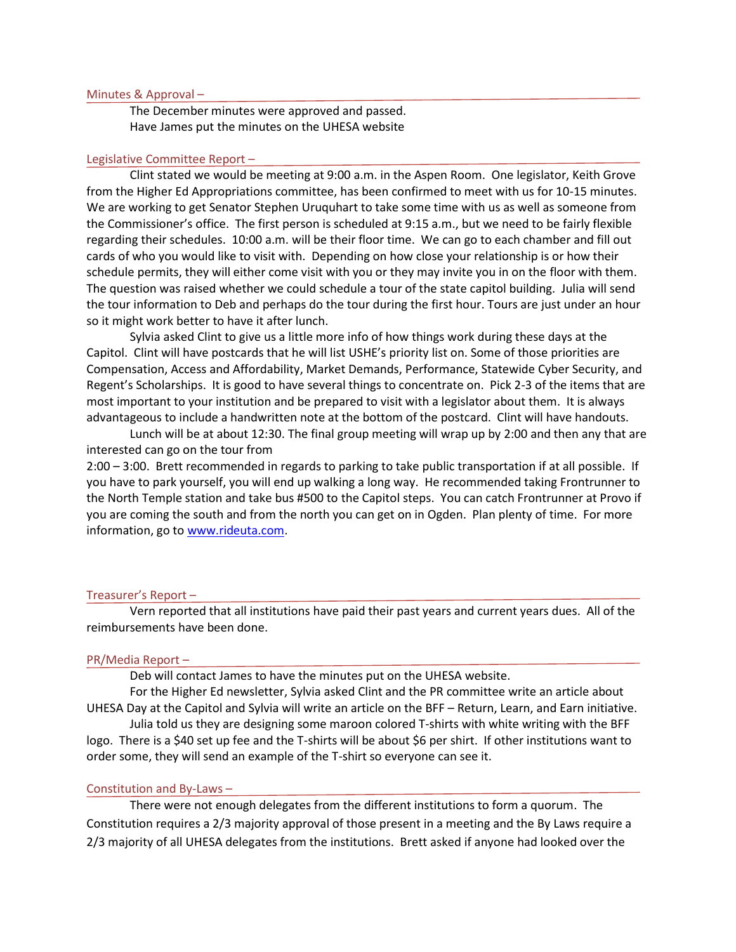### Minutes & Approval –

The December minutes were approved and passed. Have James put the minutes on the UHESA website

## Legislative Committee Report –

Clint stated we would be meeting at 9:00 a.m. in the Aspen Room. One legislator, Keith Grove from the Higher Ed Appropriations committee, has been confirmed to meet with us for 10-15 minutes. We are working to get Senator Stephen Uruquhart to take some time with us as well as someone from the Commissioner's office. The first person is scheduled at 9:15 a.m., but we need to be fairly flexible regarding their schedules. 10:00 a.m. will be their floor time. We can go to each chamber and fill out cards of who you would like to visit with. Depending on how close your relationship is or how their schedule permits, they will either come visit with you or they may invite you in on the floor with them. The question was raised whether we could schedule a tour of the state capitol building. Julia will send the tour information to Deb and perhaps do the tour during the first hour. Tours are just under an hour so it might work better to have it after lunch.

Sylvia asked Clint to give us a little more info of how things work during these days at the Capitol. Clint will have postcards that he will list USHE's priority list on. Some of those priorities are Compensation, Access and Affordability, Market Demands, Performance, Statewide Cyber Security, and Regent's Scholarships. It is good to have several things to concentrate on. Pick 2-3 of the items that are most important to your institution and be prepared to visit with a legislator about them. It is always advantageous to include a handwritten note at the bottom of the postcard. Clint will have handouts.

Lunch will be at about 12:30. The final group meeting will wrap up by 2:00 and then any that are interested can go on the tour from

2:00 – 3:00. Brett recommended in regards to parking to take public transportation if at all possible. If you have to park yourself, you will end up walking a long way. He recommended taking Frontrunner to the North Temple station and take bus #500 to the Capitol steps. You can catch Frontrunner at Provo if you are coming the south and from the north you can get on in Ogden. Plan plenty of time. For more information, go to [www.rideuta.com.](http://www.rideuta.com/)

#### Treasurer's Report –

Vern reported that all institutions have paid their past years and current years dues. All of the reimbursements have been done.

#### PR/Media Report –

Deb will contact James to have the minutes put on the UHESA website.

For the Higher Ed newsletter, Sylvia asked Clint and the PR committee write an article about UHESA Day at the Capitol and Sylvia will write an article on the BFF – Return, Learn, and Earn initiative.

Julia told us they are designing some maroon colored T-shirts with white writing with the BFF logo. There is a \$40 set up fee and the T-shirts will be about \$6 per shirt. If other institutions want to order some, they will send an example of the T-shirt so everyone can see it.

#### Constitution and By-Laws –

There were not enough delegates from the different institutions to form a quorum. The Constitution requires a 2/3 majority approval of those present in a meeting and the By Laws require a 2/3 majority of all UHESA delegates from the institutions. Brett asked if anyone had looked over the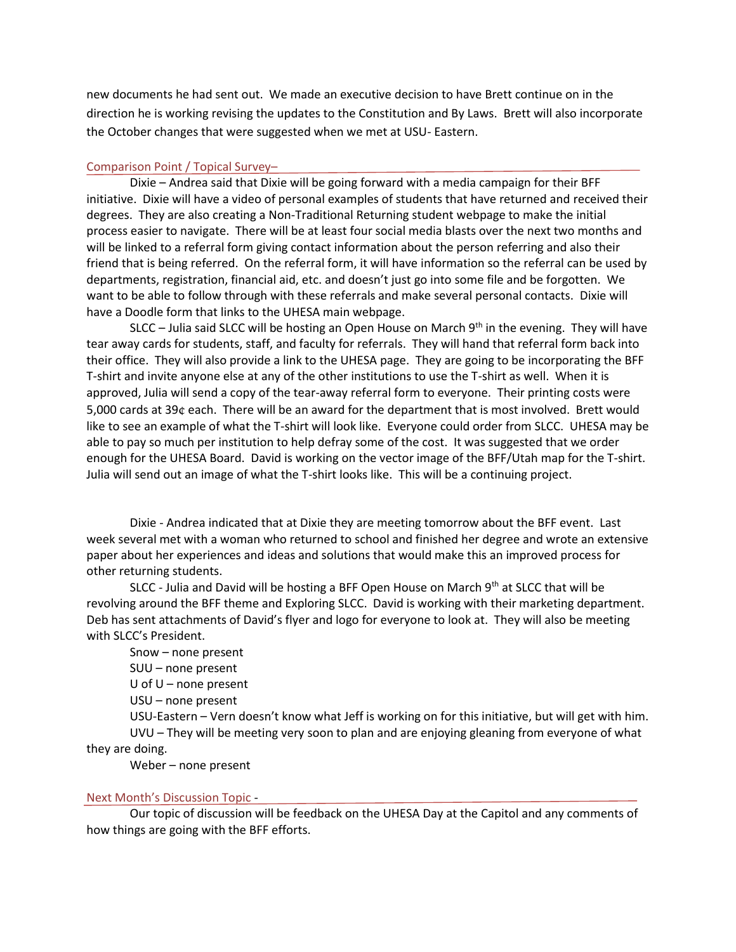new documents he had sent out. We made an executive decision to have Brett continue on in the direction he is working revising the updates to the Constitution and By Laws. Brett will also incorporate the October changes that were suggested when we met at USU- Eastern.

## Comparison Point / Topical Survey–

Dixie – Andrea said that Dixie will be going forward with a media campaign for their BFF initiative. Dixie will have a video of personal examples of students that have returned and received their degrees. They are also creating a Non-Traditional Returning student webpage to make the initial process easier to navigate. There will be at least four social media blasts over the next two months and will be linked to a referral form giving contact information about the person referring and also their friend that is being referred. On the referral form, it will have information so the referral can be used by departments, registration, financial aid, etc. and doesn't just go into some file and be forgotten. We want to be able to follow through with these referrals and make several personal contacts. Dixie will have a Doodle form that links to the UHESA main webpage.

SLCC – Julia said SLCC will be hosting an Open House on March  $9<sup>th</sup>$  in the evening. They will have tear away cards for students, staff, and faculty for referrals. They will hand that referral form back into their office. They will also provide a link to the UHESA page. They are going to be incorporating the BFF T-shirt and invite anyone else at any of the other institutions to use the T-shirt as well. When it is approved, Julia will send a copy of the tear-away referral form to everyone. Their printing costs were 5,000 cards at 39¢ each. There will be an award for the department that is most involved. Brett would like to see an example of what the T-shirt will look like. Everyone could order from SLCC. UHESA may be able to pay so much per institution to help defray some of the cost. It was suggested that we order enough for the UHESA Board. David is working on the vector image of the BFF/Utah map for the T-shirt. Julia will send out an image of what the T-shirt looks like. This will be a continuing project.

Dixie - Andrea indicated that at Dixie they are meeting tomorrow about the BFF event. Last week several met with a woman who returned to school and finished her degree and wrote an extensive paper about her experiences and ideas and solutions that would make this an improved process for other returning students.

SLCC - Julia and David will be hosting a BFF Open House on March  $9<sup>th</sup>$  at SLCC that will be revolving around the BFF theme and Exploring SLCC. David is working with their marketing department. Deb has sent attachments of David's flyer and logo for everyone to look at. They will also be meeting with SLCC's President.

Snow – none present SUU – none present U of U – none present USU – none present USU-Eastern – Vern doesn't know what Jeff is working on for this initiative, but will get with him. UVU – They will be meeting very soon to plan and are enjoying gleaning from everyone of what

they are doing.

Weber – none present

## Next Month's Discussion Topic -

Our topic of discussion will be feedback on the UHESA Day at the Capitol and any comments of how things are going with the BFF efforts.